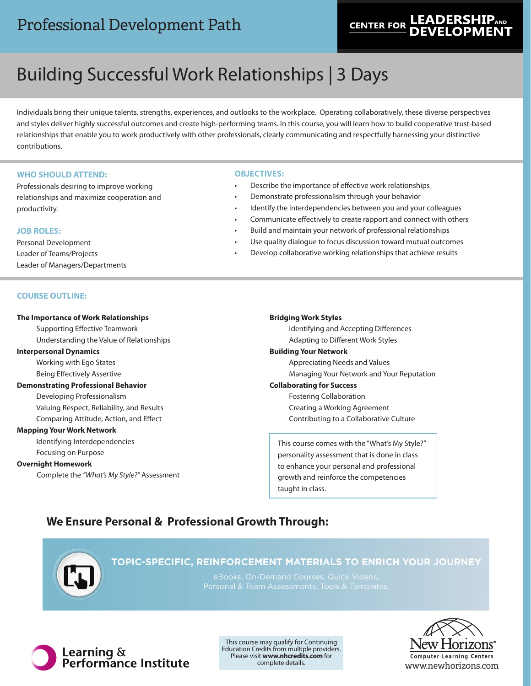# Professional Development Path

# **LEADERSH CENTER FOR**

# Building Successful Work Relationships | 3 Days

Individuals bring their unique talents, strengths, experiences, and outlooks to the workplace. Operating collaboratively, these diverse perspectives and styles deliver highly successful outcomes and create high-performing teams. In this course, you will learn how to build cooperative trust-based relationships that enable you to work productively with other professionals, clearly communicating and respectfully harnessing your distinctive contributions.

# **WHO SHOULD ATTEND:**

Professionals desiring to improve working relationships and maximize cooperation and productivity.

# **JOB ROLES:**

Personal Development Leader of Teams/Projects Leader of Managers/Departments

# **OBJECTIVES:**

- Describe the importance of effective work relationships
- Demonstrate professionalism through your behavior
- Identify the interdependencies between you and your colleagues
- Communicate effectively to create rapport and connect with others
- Build and maintain your network of professional relationships
- Use quality dialogue to focus discussion toward mutual outcomes
- Develop collaborative working relationships that achieve results

## **COURSE OUTLINE:**

# **The Importance of Work Relationships** Supporting Effective Teamwork Understanding the Value of Relationships **Interpersonal Dynamics** Working with Ego States Being Effectively Assertive **Demonstrating Professional Behavior** Developing Professionalism Valuing Respect, Reliability, and Results Comparing Attitude, Action, and Effect **Mapping Your Work Network**

Identifying Interdependencies Focusing on Purpose

## **Overnight Homework**

Complete the *"What's My Style?"* Assessment

### **Bridging Work Styles**

Identifying and Accepting Differences Adapting to Different Work Styles **Building Your Network**  Appreciating Needs and Values Managing Your Network and Your Reputation **Collaborating for Success**

# Fostering Collaboration

Creating a Working Agreement Contributing to a Collaborative Culture

This course comes with the "What's My Style?" personality assessment that is done in class to enhance your personal and professional growth and reinforce the competencies taught in class.

# **We Ensure Personal & Professional Growth Through:**



# TOPIC-SPECIFIC, REINFORCEMENT MATERIALS TO ENRICH YOUR JOURNEY



This course may qualify for Continuing Education Credits from multiple providers. Please visit **www.nhcredits.com** for complete details.